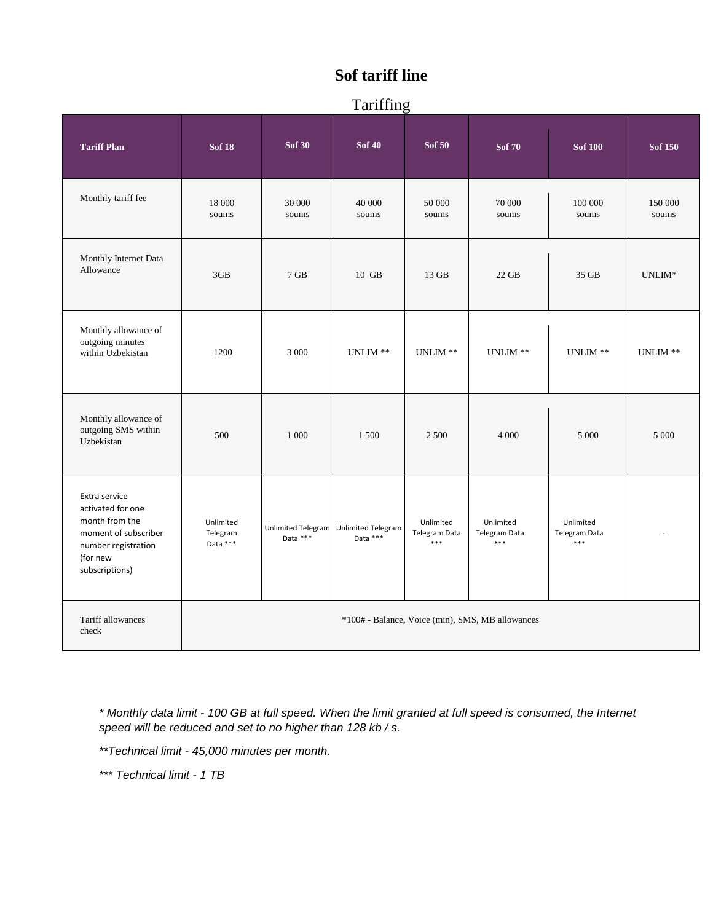# **Sof tariff line**

## Tariffing

|                                                                                                                                   |                                                  |                 | 1.4111115                                           |                                          |                                     |                                            |                  |
|-----------------------------------------------------------------------------------------------------------------------------------|--------------------------------------------------|-----------------|-----------------------------------------------------|------------------------------------------|-------------------------------------|--------------------------------------------|------------------|
| <b>Tariff Plan</b>                                                                                                                | <b>Sof 18</b>                                    | <b>Sof 30</b>   | <b>Sof 40</b>                                       | <b>Sof 50</b>                            | <b>Sof 70</b>                       | <b>Sof 100</b>                             | <b>Sof 150</b>   |
| Monthly tariff fee                                                                                                                | 18 000<br>soums                                  | 30 000<br>soums | 40 000<br>soums                                     | 50 000<br>soums                          | 70 000<br>soums                     | 100 000<br>soums                           | 150 000<br>soums |
| Monthly Internet Data<br>Allowance                                                                                                | 3GB                                              | $7$ GB          | 10 GB                                               | 13 GB                                    | 22 GB                               | 35 GB                                      | $UNLIM*$         |
| Monthly allowance of<br>outgoing minutes<br>within Uzbekistan                                                                     | 1200                                             | 3 000           | UNLIM **                                            | UNLIM $\ast\ast$                         | UNLIM $^{\ast\ast}$                 | UNLIM **                                   | UNLIM **         |
| Monthly allowance of<br>outgoing SMS within<br>Uzbekistan                                                                         | 500                                              | 1 000           | 1 500                                               | 2 500                                    | 4 0 0 0                             | 5 000                                      | 5 0 0 0          |
| Extra service<br>activated for one<br>month from the<br>moment of subscriber<br>number registration<br>(for new<br>subscriptions) | Unlimited<br>Telegram<br>Data ***                | Data ***        | Unlimited Telegram   Unlimited Telegram<br>Data *** | Unlimited<br><b>Telegram Data</b><br>*** | Unlimited<br>Telegram Data<br>$***$ | Unlimited<br><b>Telegram Data</b><br>$***$ |                  |
| Tariff allowances<br>check                                                                                                        | *100# - Balance, Voice (min), SMS, MB allowances |                 |                                                     |                                          |                                     |                                            |                  |

*\* Monthly data limit - 100 GB at full speed. When the limit granted at full speed is consumed, the Internet speed will be reduced and set to no higher than 128 kb / s.*

*\*\*Technical limit - 45,000 minutes per month.*

*\*\*\* Technical limit - 1 TB*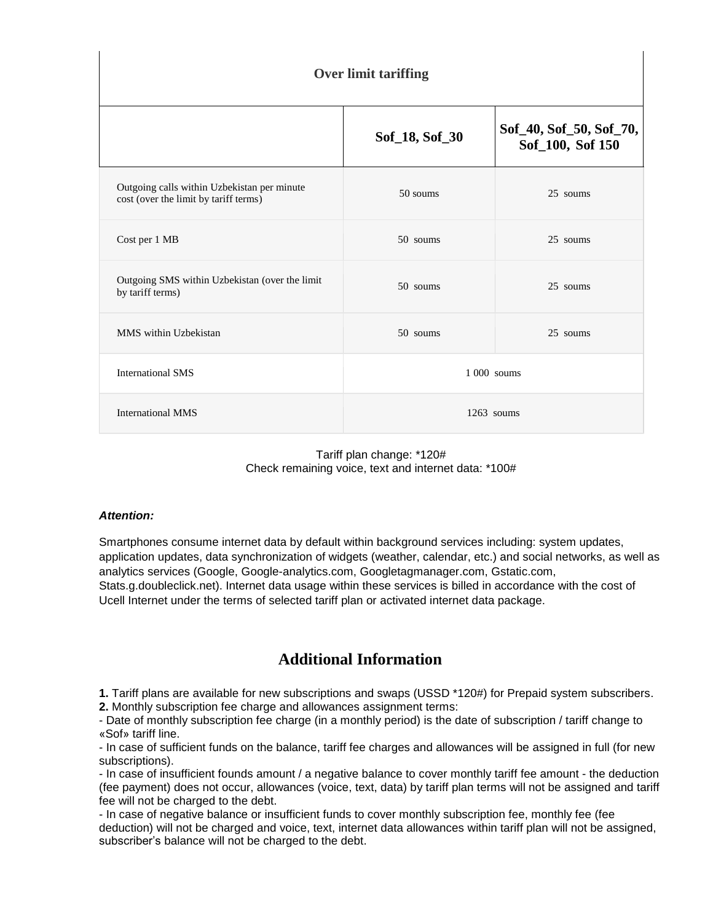| <b>Over limit tariffing</b>                                                          |                |                                             |  |  |  |  |
|--------------------------------------------------------------------------------------|----------------|---------------------------------------------|--|--|--|--|
|                                                                                      | Sof_18, Sof_30 | Sof_40, Sof_50, Sof_70,<br>Sof_100, Sof 150 |  |  |  |  |
| Outgoing calls within Uzbekistan per minute<br>cost (over the limit by tariff terms) | 50 soums       | 25 soums                                    |  |  |  |  |
| Cost per 1 MB                                                                        | 50 soums       | 25 soums                                    |  |  |  |  |
| Outgoing SMS within Uzbekistan (over the limit<br>by tariff terms)                   | 50 soums       | 25 soums                                    |  |  |  |  |
| MMS within Uzbekistan                                                                | 50 soums       | 25 soums                                    |  |  |  |  |
| <b>International SMS</b>                                                             | 1 000 soums    |                                             |  |  |  |  |
| <b>International MMS</b>                                                             | $1263$ soums   |                                             |  |  |  |  |

Tariff plan change: \*120# Check remaining voice, text and internet data: \*100#

#### *Attention:*

Smartphones consume internet data by default within background services including: system updates, application updates, data synchronization of widgets (weather, calendar, etc.) and social networks, as well as analytics services (Google, Google-analytics.com, Googletagmanager.com, Gstatic.com, Stats.g.doubleclick.net). Internet data usage within these services is billed in accordance with the cost of Ucell Internet under the terms of selected tariff plan or activated internet data package.

## **Additional Information**

**1.** Tariff plans are available for new subscriptions and swaps (USSD \*120#) for Prepaid system subscribers. **2.** Monthly subscription fee charge and allowances assignment terms:

- Date of monthly subscription fee charge (in a monthly period) is the date of subscription / tariff change to «Sof» tariff line.

- In case of sufficient funds on the balance, tariff fee charges and allowances will be assigned in full (for new subscriptions).

- In case of insufficient founds amount / a negative balance to cover monthly tariff fee amount - the deduction (fee payment) does not occur, allowances (voice, text, data) by tariff plan terms will not be assigned and tariff fee will not be charged to the debt.

- In case of negative balance or insufficient funds to cover monthly subscription fee, monthly fee (fee deduction) will not be charged and voice, text, internet data allowances within tariff plan will not be assigned, subscriber's balance will not be charged to the debt.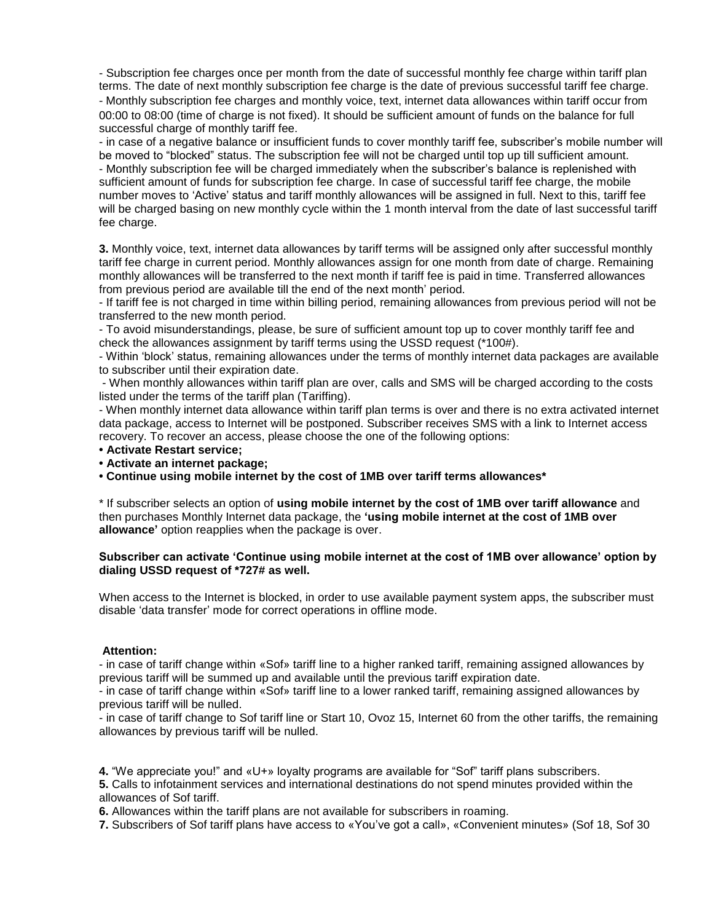- Subscription fee charges once per month from the date of successful monthly fee charge within tariff plan terms. The date of next monthly subscription fee charge is the date of previous successful tariff fee charge. - Monthly subscription fee charges and monthly voice, text, internet data allowances within tariff occur from 00:00 to 08:00 (time of charge is not fixed). It should be sufficient amount of funds on the balance for full successful charge of monthly tariff fee.

- in case of a negative balance or insufficient funds to cover monthly tariff fee, subscriber's mobile number will be moved to "blocked" status. The subscription fee will not be charged until top up till sufficient amount. - Monthly subscription fee will be charged immediately when the subscriber's balance is replenished with sufficient amount of funds for subscription fee charge. In case of successful tariff fee charge, the mobile number moves to 'Active' status and tariff monthly allowances will be assigned in full. Next to this, tariff fee will be charged basing on new monthly cycle within the 1 month interval from the date of last successful tariff fee charge.

**3.** Monthly voice, text, internet data allowances by tariff terms will be assigned only after successful monthly tariff fee charge in current period. Monthly allowances assign for one month from date of charge. Remaining monthly allowances will be transferred to the next month if tariff fee is paid in time. Transferred allowances from previous period are available till the end of the next month' period.

- If tariff fee is not charged in time within billing period, remaining allowances from previous period will not be transferred to the new month period.

- To avoid misunderstandings, please, be sure of sufficient amount top up to cover monthly tariff fee and check the allowances assignment by tariff terms using the USSD request (\*100#).

- Within 'block' status, remaining allowances under the terms of monthly internet data packages are available to subscriber until their expiration date.

- When monthly allowances within tariff plan are over, calls and SMS will be charged according to the costs listed under the terms of the tariff plan (Tariffing).

- When monthly internet data allowance within tariff plan terms is over and there is no extra activated internet data package, access to Internet will be postponed. Subscriber receives SMS with a link to Internet access recovery. To recover an access, please choose the one of the following options:

- **Activate Restart service;**
- **Activate an internet package;**

**• Continue using mobile internet by the cost of 1MB over tariff terms allowances\***

\* If subscriber selects an option of **using mobile internet by the cost of 1MB over tariff allowance** and then purchases Monthly Internet data package, the **'using mobile internet at the cost of 1MB over allowance'** option reapplies when the package is over.

#### **Subscriber can activate 'Continue using mobile internet at the cost of 1MB over allowance' option by dialing USSD request of \*727# as well.**

When access to the Internet is blocked, in order to use available payment system apps, the subscriber must disable 'data transfer' mode for correct operations in offline mode.

#### **Attention:**

- in case of tariff change within «Sof» tariff line to a higher ranked tariff, remaining assigned allowances by previous tariff will be summed up and available until the previous tariff expiration date.

- in case of tariff change within «Sof» tariff line to a lower ranked tariff, remaining assigned allowances by previous tariff will be nulled.

- in case of tariff change to Sof tariff line or Start 10, Ovoz 15, Internet 60 from the other tariffs, the remaining allowances by previous tariff will be nulled.

**4.** "We appreciate you!" and «U+» loyalty programs are available for "Sof" tariff plans subscribers.

**5.** Calls to infotainment services and international destinations do not spend minutes provided within the allowances of Sof tariff.

**6.** Allowances within the tariff plans are not available for subscribers in roaming.

**7.** Subscribers of Sof tariff plans have access to «You've got a call», «Convenient minutes» (Sof 18, Sof 30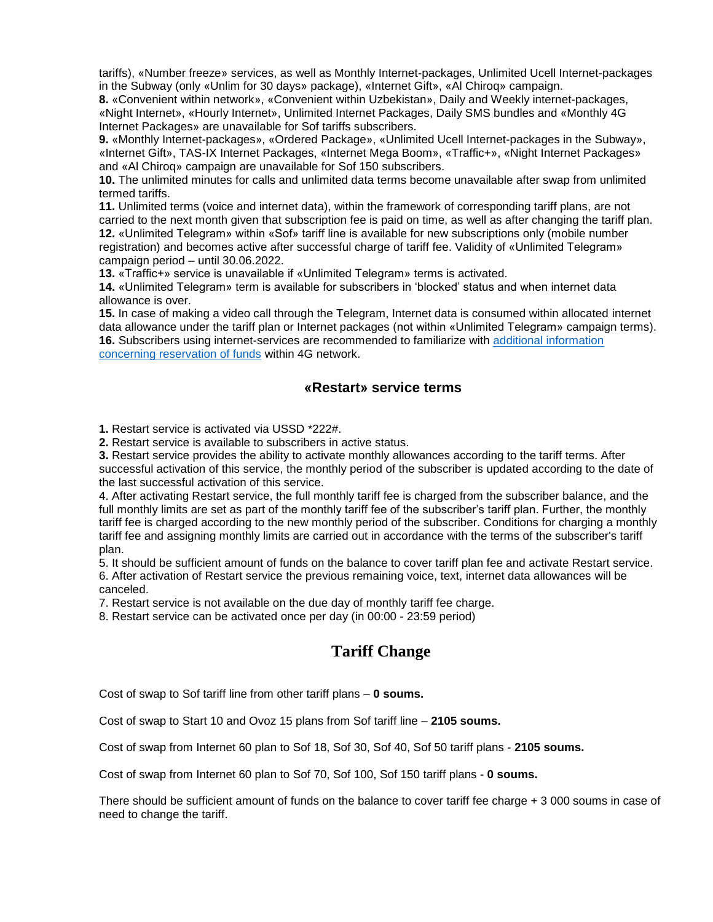tariffs), «Number freeze» services, as well as Monthly Internet-packages, Unlimited Ucell Internet-packages in the Subway (only «Unlim for 30 days» package), «Internet Gift», «Al Chiroq» campaign.

**8.** «Convenient within network», «Convenient within Uzbekistan», Daily and Weekly internet-packages, «Night Internet», «Hourly Internet», Unlimited Internet Packages, Daily SMS bundles and «Monthly 4G Internet Packages» are unavailable for Sof tariffs subscribers.

**9.** «Monthly Internet-packages», «Ordered Package», «Unlimited Ucell Internet-packages in the Subway», «Internet Gift», TAS-IX Internet Packages, «Internet Mega Boom», «Traffic+», «Night Internet Packages» and «Al Chiroq» campaign are unavailable for Sof 150 subscribers.

**10.** The unlimited minutes for calls and unlimited data terms become unavailable after swap from unlimited termed tariffs.

**11.** Unlimited terms (voice and internet data), within the framework of corresponding tariff plans, are not carried to the next month given that subscription fee is paid on time, as well as after changing the tariff plan. **12.** «Unlimited Telegram» within «Sof» tariff line is available for new subscriptions only (mobile number registration) and becomes active after successful charge of tariff fee. Validity of «Unlimited Telegram» campaign period – until 30.06.2022.

**13.** «Traffic+» service is unavailable if «Unlimited Telegram» terms is activated.

**14.** «Unlimited Telegram» term is available for subscribers in 'blocked' status and when internet data allowance is over.

**15.** In case of making a video call through the Telegram, Internet data is consumed within allocated internet data allowance under the tariff plan or Internet packages (not within «Unlimited Telegram» campaign terms). **16.** Subscribers using internet-services are recommended to familiarize with [additional information](https://ucell.uz/en/subscribers/internet/3g/3g_internet)  [concerning reservation of funds](https://ucell.uz/en/subscribers/internet/3g/3g_internet) within 4G network.

### **«Restart» service terms**

**1.** Restart service is activated via USSD \*222#.

**2.** Restart service is available to subscribers in active status.

**3.** Restart service provides the ability to activate monthly allowances according to the tariff terms. After successful activation of this service, the monthly period of the subscriber is updated according to the date of the last successful activation of this service.

4. After activating Restart service, the full monthly tariff fee is charged from the subscriber balance, and the full monthly limits are set as part of the monthly tariff fee of the subscriber's tariff plan. Further, the monthly tariff fee is charged according to the new monthly period of the subscriber. Conditions for charging a monthly tariff fee and assigning monthly limits are carried out in accordance with the terms of the subscriber's tariff plan.

5. It should be sufficient amount of funds on the balance to cover tariff plan fee and activate Restart service. 6. After activation of Restart service the previous remaining voice, text, internet data allowances will be canceled.

7. Restart service is not available on the due day of monthly tariff fee charge.

8. Restart service can be activated once per day (in 00:00 - 23:59 period)

### **Tariff Change**

Cost of swap to Sof tariff line from other tariff plans – **0 soums.**

Cost of swap to Start 10 and Ovoz 15 plans from Sof tariff line – **2105 soums.**

Cost of swap from Internet 60 plan to Sof 18, Sof 30, Sof 40, Sof 50 tariff plans - **2105 soums.**

Cost of swap from Internet 60 plan to Sof 70, Sof 100, Sof 150 tariff plans - **0 soums.**

There should be sufficient amount of funds on the balance to cover tariff fee charge + 3 000 soums in case of need to change the tariff.